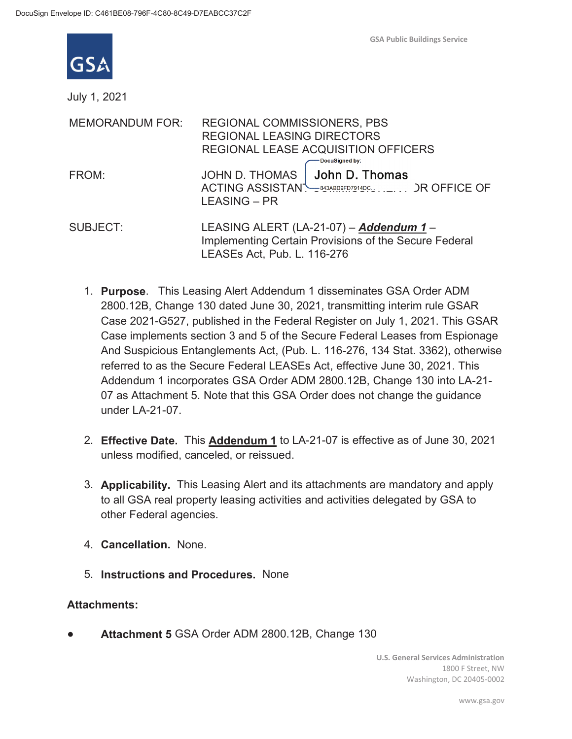

July 1, 2021

| <b>MEMORANDUM FOR:</b> | REGIONAL COMMISSIONERS, PBS<br><b>REGIONAL LEASING DIRECTORS</b><br>REGIONAL LEASE ACQUISITION OFFICERS<br>DocuSigned by:       |
|------------------------|---------------------------------------------------------------------------------------------------------------------------------|
| FROM:                  | JOHN D. THOMAS   John D. Thomas<br>ACTING ASSISTAN <sup>-</sup> 343ABD9FD7914DC <sub>30</sub> , , DR OFFICE OF<br>LEASING – PR  |
| <b>SUBJECT:</b>        | LEASING ALERT (LA-21-07) - Addendum 1 -<br>Implementing Certain Provisions of the Secure Federal<br>LEASEs Act, Pub. L. 116-276 |

- 1. **Purpose**. This Leasing Alert Addendum 1 disseminates GSA Order ADM 2800.12B, Change 130 dated June 30, 2021, transmitting interim rule GSAR Case 2021-G527, published in the Federal Register on July 1, 2021. This GSAR Case implements section 3 and 5 of the Secure Federal Leases from Espionage And Suspicious Entanglements Act, (Pub. L. 116-276, 134 Stat. 3362), otherwise referred to as the Secure Federal LEASEs Act, effective June 30, 2021. This Addendum 1 incorporates GSA Order ADM 2800.12B, Change 130 into LA-21- 07 as Attachment 5. Note that this GSA Order does not change the guidance under LA-21-07.
- 2. **Effective Date.** This **Addendum 1** to LA-21-07 is effective as of June 30, 2021 unless modified, canceled, or reissued.
- 3. **Applicability.** This Leasing Alert and its attachments are mandatory and apply to all GSA real property leasing activities and activities delegated by GSA to other Federal agencies.
- 4. **Cancellation.** None.
- 5. **Instructions and Procedures.** None

## **Attachments:**

Attachment 5 GSA Order ADM 2800.12B, Change 130